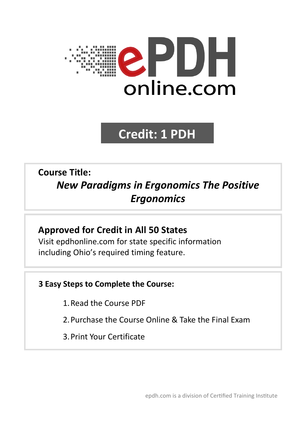

# **Credit: 1 PDH**

# **Course Title:** *New Paradigms in Ergonomics The Positive Ergonomics*

# **Approved for Credit in All 50 States** Visit epdhonline.com for state specific information including Ohio's required timing feature.

# **3 Easy Steps to Complete the Course:**

- 1.Read the Course PDF
- 2.Purchase the Course Online & Take the Final Exam
- 3.Print Your Certificate

epdh.com is a division of Certified Training Institute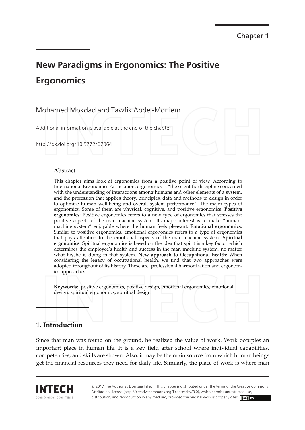# **New Paradigms in Ergonomics: The Positive Ergonomics**

Mohamed Mokdad and Tawfik Abdel-Moniem

Additional information is available at the end of the chapter

http://dx.doi.org/10.5772/67064

#### Abstract

This chapter aims look at ergonomics from a positive point of view. According to International Ergonomics Association, ergonomics is "the scientific discipline concerned with the understanding of interactions among humans and other elements of a system, and the profession that applies theory, principles, data and methods to design in order to optimize human well-being and overall system performance". The major types of ergonomics. Some of them are physical, cognitive, and positive ergonomics. Positive ergonomics: Positive ergonomics refers to a new type of ergonomics that stresses the positive aspects of the man-machine system. Its major interest is to make "humanmachine system" enjoyable where the human feels pleasant. **Emotional ergonomics**: Similar to positive ergonomics, emotional ergonomics refers to a type of ergonomics that pays attention to the emotional aspects of the man-machine system. Spiritual ergonomics: Spiritual ergonomics is based on the idea that spirit is a key factor which determines the employee's health and success in the man machine system, no matter what he/she is doing in that system. New approach to Occupational health: When considering the legacy of occupational health, we find that two approaches were adopted throughout of its history. These are: professional harmonization and ergonomics approaches.

Keywords: positive ergonomics, positive design, emotional ergonomics, emotional design, spiritual ergonomics, spiritual design

# 1. Introduction

Since that man was found on the ground, he realized the value of work. Work occupies an important place in human life. It is a key field after school where individual capabilities, competencies, and skills are shown. Also, it may be the main source from which human beings get the financial resources they need for daily life. Similarly, the place of work is where man

open science | open minds

© 2017 The Author(s). Licensee InTech. This chapter is distributed under the terms of the Creative Commons Attribution License (http://creativecommons.org/licenses/by/3.0), which permits unrestricted use, distribution, and reproduction in any medium, provided the original work is properly cited. (cc) BY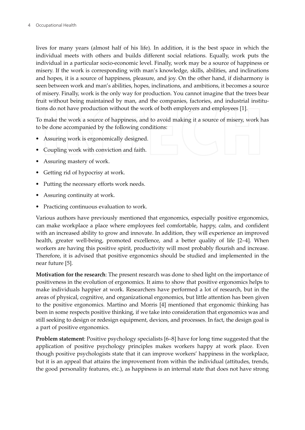lives for many years (almost half of his life). In addition, it is the best space in which the individual meets with others and builds different social relations. Equally, work puts the individual in a particular socio-economic level. Finally, work may be a source of happiness or misery. If the work is corresponding with man's knowledge, skills, abilities, and inclinations and hopes, it is a source of happiness, pleasure, and joy. On the other hand, if disharmony is seen between work and man's abilities, hopes, inclinations, and ambitions, it becomes a source of misery. Finally, work is the only way for production. You cannot imagine that the trees bear fruit without being maintained by man, and the companies, factories, and industrial institutions do not have production without the work of both employers and employees [1].

To make the work a source of happiness, and to avoid making it a source of misery, work has to be done accompanied by the following conditions:

- Assuring work is ergonomically designed.
- Coupling work with conviction and faith.
- Assuring mastery of work.
- Getting rid of hypocrisy at work.
- Putting the necessary efforts work needs.
- Assuring continuity at work.
- Practicing continuous evaluation to work.

Various authors have previously mentioned that ergonomics, especially positive ergonomics, can make workplace a place where employees feel comfortable, happy, calm, and confident with an increased ability to grow and innovate. In addition, they will experience an improved health, greater well-being, promoted excellence, and a better quality of life [2-4]. When workers are having this positive spirit, productivity will most probably flourish and increase. Therefore, it is advised that positive ergonomics should be studied and implemented in the near future [5].

Motivation for the research: The present research was done to shed light on the importance of positiveness in the evolution of ergonomics. It aims to show that positive ergonomics helps to make individuals happier at work. Researchers have performed a lot of research, but in the areas of physical, cognitive, and organizational ergonomics, but little attention has been given to the positive ergonomics. Martino and Morris [4] mentioned that ergonomic thinking has been in some respects positive thinking, if we take into consideration that ergonomics was and still seeking to design or redesign equipment, devices, and processes. In fact, the design goal is a part of positive ergonomics.

**Problem statement:** Positive psychology specialists [6-8] have for long time suggested that the application of positive psychology principles makes workers happy at work place. Even though positive psychologists state that it can improve workers' happiness in the workplace, but it is an appeal that attains the improvement from within the individual (attitudes, trends, the good personality features, etc.), as happiness is an internal state that does not have strong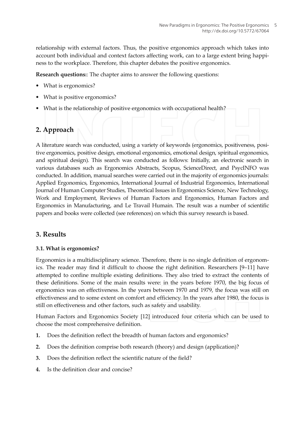relationship with external factors. Thus, the positive ergonomics approach which takes into account both individual and context factors affecting work, can to a large extent bring happiness to the workplace. Therefore, this chapter debates the positive ergonomics.

Research questions:: The chapter aims to answer the following questions:

- What is ergonomics?
- What is positive ergonomics?
- What is the relationship of positive ergonomics with occupational health?

## 2. Approach

A literature search was conducted, using a variety of keywords (ergonomics, positiveness, positive ergonomics, positive design, emotional ergonomics, emotional design, spiritual ergonomics, and spiritual design). This search was conducted as follows: Initially, an electronic search in various databases such as Ergonomics Abstracts, Scopus, ScienceDirect, and PsycINFO was conducted. In addition, manual searches were carried out in the majority of ergonomics journals: Applied Ergonomics, Ergonomics, International Journal of Industrial Ergonomics, International Journal of Human Computer Studies, Theoretical Issues in Ergonomics Science, New Technology, Work and Employment, Reviews of Human Factors and Ergonomics, Human Factors and Ergonomics in Manufacturing, and Le Travail Humain. The result was a number of scientific papers and books were collected (see references) on which this survey research is based.

### 3. Results

#### 3.1. What is ergonomics?

Ergonomics is a multidisciplinary science. Therefore, there is no single definition of ergonomics. The reader may find it difficult to choose the right definition. Researchers [9-11] have attempted to confine multiple existing definitions. They also tried to extract the contents of these definitions. Some of the main results were: in the years before 1970, the big focus of ergonomics was on effectiveness. In the years between 1970 and 1979, the focus was still on effectiveness and to some extent on comfort and efficiency. In the years after 1980, the focus is still on effectiveness and other factors, such as safety and usability.

Human Factors and Ergonomics Society [12] introduced four criteria which can be used to choose the most comprehensive definition.

- 1. Does the definition reflect the breadth of human factors and ergonomics?
- $2.$ Does the definition comprise both research (theory) and design (application)?
- Does the definition reflect the scientific nature of the field? 3.
- Is the definition clear and concise?  $\boldsymbol{4}$ .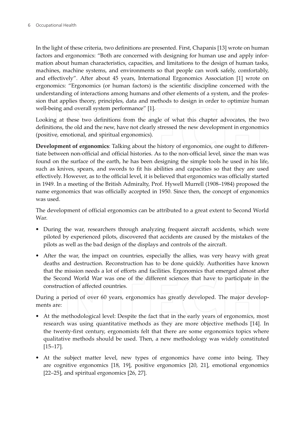In the light of these criteria, two definitions are presented. First, Chapanis [13] wrote on human factors and ergonomics: "Both are concerned with designing for human use and apply information about human characteristics, capacities, and limitations to the design of human tasks, machines, machine systems, and environments so that people can work safely, comfortably, and effectively". After about 45 years, International Ergonomics Association [1] wrote on ergonomics: "Ergonomics (or human factors) is the scientific discipline concerned with the understanding of interactions among humans and other elements of a system, and the profession that applies theory, principles, data and methods to design in order to optimize human well-being and overall system performance" [1].

Looking at these two definitions from the angle of what this chapter advocates, the two definitions, the old and the new, have not clearly stressed the new development in ergonomics (positive, emotional, and spiritual ergonomics).

Development of ergonomics: Talking about the history of ergonomics, one ought to differentiate between non-official and official histories. As to the non-official level, since the man was found on the surface of the earth, he has been designing the simple tools he used in his life, such as knives, spears, and swords to fit his abilities and capacities so that they are used effectively. However, as to the official level, it is believed that ergonomics was officially started in 1949. In a meeting of the British Admiralty, Prof. Hywell Murrell (1908–1984) proposed the name ergonomics that was officially accepted in 1950. Since then, the concept of ergonomics was used.

The development of official ergonomics can be attributed to a great extent to Second World War

- During the war, researchers through analyzing frequent aircraft accidents, which were piloted by experienced pilots, discovered that accidents are caused by the mistakes of the pilots as well as the bad design of the displays and controls of the aircraft.
- After the war, the impact on countries, especially the allies, was very heavy with great deaths and destruction. Reconstruction has to be done quickly. Authorities have known that the mission needs a lot of efforts and facilities. Ergonomics that emerged almost after the Second World War was one of the different sciences that have to participate in the construction of affected countries.

During a period of over 60 years, ergonomics has greatly developed. The major developments are:

- At the methodological level: Despite the fact that in the early years of ergonomics, most research was using quantitative methods as they are more objective methods [14]. In the twenty-first century, ergonomists felt that there are some ergonomics topics where qualitative methods should be used. Then, a new methodology was widely constituted  $[15-17]$ .
- At the subject matter level, new types of ergonomics have come into being. They are cognitive ergonomics [18, 19], positive ergonomics [20, 21], emotional ergonomics [22–25], and spiritual ergonomics [26, 27].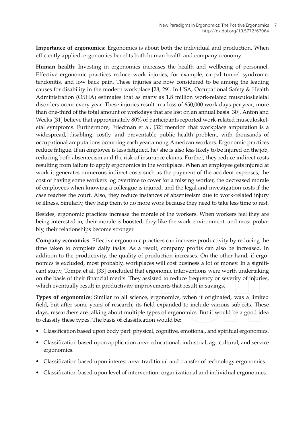Importance of ergonomics: Ergonomics is about both the individual and production. When efficiently applied, ergonomics benefits both human health and company economy.

Human health: Investing in ergonomics increases the health and wellbeing of personnel. Effective ergonomic practices reduce work injuries, for example, carpal tunnel syndrome, tendonitis, and low back pain. These injuries are now considered to be among the leading causes for disability in the modern workplace [28, 29]. In USA, Occupational Safety & Health Administration (OSHA) estimates that as many as 1.8 million work-related musculoskeletal disorders occur every year. These injuries result in a loss of 650,000 work days per year; more than one-third of the total amount of workdays that are lost on an annual basis [30]. Anton and Weeks [31] believe that approximately 80% of participants reported work-related musculoskeletal symptoms. Furthermore, Friedman et al. [32] mention that workplace amputation is a widespread, disabling, costly, and preventable public health problem, with thousands of occupational amputations occurring each year among American workers. Ergonomic practices reduce fatigue. If an employee is less fatigued, he/ she is also less likely to be injured on the job, reducing both absenteeism and the risk of insurance claims. Further, they reduce indirect costs resulting from failure to apply ergonomics in the workplace. When an employee gets injured at work it generates numerous indirect costs such as the payment of the accident expenses, the cost of having some workers log overtime to cover for a missing worker, the decreased morale of employees when knowing a colleague is injured, and the legal and investigation costs if the case reaches the court. Also, they reduce instances of absenteeism due to work-related injury or illness. Similarly, they help them to do more work because they need to take less time to rest.

Besides, ergonomic practices increase the morale of the workers. When workers feel they are being interested in, their morale is boosted, they like the work environment, and most probably, their relationships become stronger.

Company economics: Effective ergonomic practices can increase productivity by reducing the time taken to complete daily tasks. As a result, company profits can also be increased. In addition to the productivity, the quality of production increases. On the other hand, if ergonomics is excluded, most probably, workplaces will cost business a lot of money. In a significant study, Tompa et al. [33] concluded that ergonomic interventions were worth undertaking on the basis of their financial merits. They assisted to reduce frequency or severity of injuries, which eventually result in productivity improvements that result in savings.

Types of ergonomics: Similar to all science, ergonomics, when it originated, was a limited field, but after some years of research, its field expanded to include various subjects. These days, researchers are talking about multiple types of ergonomics. But it would be a good idea to classify these types. The basis of classification would be:

- Classification based upon body part: physical, cognitive, emotional, and spiritual ergonomics.
- Classification based upon application area: educational, industrial, agricultural, and service ergonomics.
- Classification based upon interest area: traditional and transfer of technology ergonomics.
- Classification based upon level of intervention: organizational and individual ergonomics.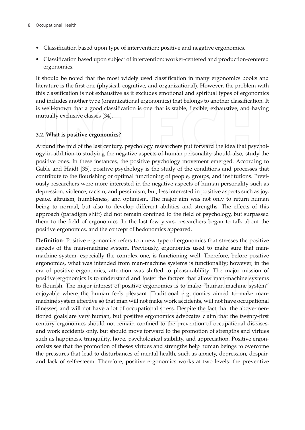- Classification based upon type of intervention: positive and negative ergonomics.
- Classification based upon subject of intervention: worker-centered and production-centered ergonomics.

It should be noted that the most widely used classification in many ergonomics books and literature is the first one (physical, cognitive, and organizational). However, the problem with this classification is not exhaustive as it excludes emotional and spiritual types of ergonomics and includes another type (organizational ergonomics) that belongs to another classification. It is well-known that a good classification is one that is stable, flexible, exhaustive, and having mutually exclusive classes [34].

#### 3.2. What is positive ergonomics?

Around the mid of the last century, psychology researchers put forward the idea that psychology in addition to studying the negative aspects of human personality should also, study the positive ones. In these instances, the positive psychology movement emerged. According to Gable and Haidt [35], positive psychology is the study of the conditions and processes that contribute to the flourishing or optimal functioning of people, groups, and institutions. Previously researchers were more interested in the negative aspects of human personality such as depression, violence, racism, and pessimism, but, less interested in positive aspects such as joy, peace, altruism, humbleness, and optimism. The major aim was not only to return human being to normal, but also to develop different abilities and strengths. The effects of this approach (paradigm shift) did not remain confined to the field of psychology, but surpassed them to the field of ergonomics. In the last few years, researchers began to talk about the positive ergonomics, and the concept of hedonomics appeared.

**Definition**: Positive ergonomics refers to a new type of ergonomics that stresses the positive aspects of the man-machine system. Previously, ergonomics used to make sure that manmachine system, especially the complex one, is functioning well. Therefore, before positive ergonomics, what was intended from man-machine systems is functionality; however, in the era of positive ergonomics, attention was shifted to pleasurability. The major mission of positive ergonomics is to understand and foster the factors that allow man-machine systems to flourish. The major interest of positive ergonomics is to make "human-machine system" enjoyable where the human feels pleasant. Traditional ergonomics aimed to make manmachine system effective so that man will not make work accidents, will not have occupational illnesses, and will not have a lot of occupational stress. Despite the fact that the above-mentioned goals are very human, but positive ergonomics advocates claim that the twenty-first century ergonomics should not remain confined to the prevention of occupational diseases, and work accidents only, but should move forward to the promotion of strengths and virtues such as happiness, tranquility, hope, psychological stability, and appreciation. Positive ergonomists see that the promotion of theses virtues and strengths help human beings to overcome the pressures that lead to disturbances of mental health, such as anxiety, depression, despair, and lack of self-esteem. Therefore, positive ergonomics works at two levels: the preventive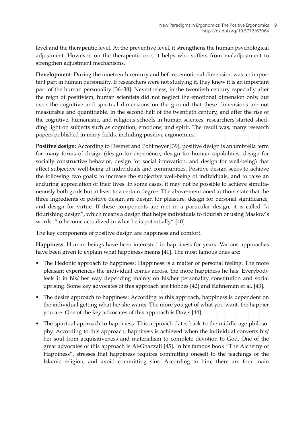level and the therapeutic level. At the preventive level, it strengthens the human psychological adjustment. However, on the therapeutic one, it helps who suffers from maladjustment to strengthen adjustment mechanisms.

Development: During the nineteenth century and before, emotional dimension was an important part in human personality. If researchers were not studying it, they knew it is an important part of the human personality [36-38]. Nevertheless, in the twentieth century especially after the reign of positivism, human scientists did not neglect the emotional dimension only, but even the cognitive and spiritual dimensions on the ground that these dimensions are not measurable and quantifiable. In the second half of the twentieth century, and after the rise of the cognitive, humanistic, and religious schools in human sciences, researchers started shedding light on subjects such as cognition, emotions, and spirit. The result was, many research papers published in many fields, including positive ergonomics.

Positive design: According to Desmet and Pohlmeyer [39], positive design is an umbrella term for many forms of design (design for experience, design for human capabilities, design for socially constructive behavior, design for social innovation, and design for well-being) that affect subjective well-being of individuals and communities. Positive design seeks to achieve the following two goals: to increase the subjective well-being of individuals, and to raise an enduring appreciation of their lives. In some cases, it may not be possible to achieve simultaneously both goals but at least to a certain degree. The above-mentioned authors state that the three ingredients of positive design are design for pleasure, design for personal significance, and design for virtue. If these components are met in a particular design, it is called "a flourishing design", which means a design that helps individuals to flourish or using Maslow's words: "to become actualized in what he is potentially" [40].

The key components of positive design are happiness and comfort.

Happiness: Human beings have been interested in happiness for years. Various approaches have been given to explain what happiness means [41]. The most famous ones are:

- The Hedonic approach to happiness: Happiness is a matter of personal feeling. The more pleasant experiences the individual comes across, the more happiness he has. Everybody feels it in his/ her way depending mainly on his/her personality constitution and social uprising. Some key advocates of this approach are Hobbes [42] and Kahneman et al. [43].
- The desire approach to happiness: According to this approach, happiness is dependent on the individual getting what he/ she wants. The more you get of what you want, the happier you are. One of the key advocates of this approach is Davis [44].
- The spiritual approach to happiness: This approach dates back to the middle-age philosophy. According to this approach, happiness is achieved when the individual converts his/ her soul from acquisitiveness and materialism to complete devotion to God. One of the great advocates of this approach is Al-Ghazzali [45]. In his famous book "The Alchemy of Happiness", stresses that happiness requires committing oneself to the teachings of the Islamic religion, and avoid committing sins. According to him, there are four main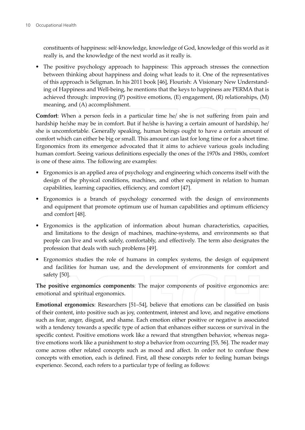constituents of happiness: self-knowledge, knowledge of God, knowledge of this world as it really is, and the knowledge of the next world as it really is.

• The positive psychology approach to happiness: This approach stresses the connection between thinking about happiness and doing what leads to it. One of the representatives of this approach is Seligman. In his 2011 book [46], Flourish: A Visionary New Understanding of Happiness and Well-being, he mentions that the keys to happiness are PERMA that is achieved through: improving  $(P)$  positive emotions,  $(E)$  engagement,  $(R)$  relationships,  $(M)$ meaning, and (A) accomplishment.

**Comfort:** When a person feels in a particular time he/ she is not suffering from pain and hardship he/she may be in comfort. But if he/she is having a certain amount of hardship, he/ she is uncomfortable. Generally speaking, human beings ought to have a certain amount of comfort which can either be big or small. This amount can last for long time or for a short time. Ergonomics from its emergence advocated that it aims to achieve various goals including human comfort. Seeing various definitions especially the ones of the 1970s and 1980s, comfort is one of these aims. The following are examples:

- Ergonomics is an applied area of psychology and engineering which concerns itself with the design of the physical conditions, machines, and other equipment in relation to human capabilities, learning capacities, efficiency, and comfort [47].
- Ergonomics is a branch of psychology concerned with the design of environments and equipment that promote optimum use of human capabilities and optimum efficiency and comfort [48].
- Ergonomics is the application of information about human characteristics, capacities, and limitations to the design of machines, machine-systems, and environments so that people can live and work safely, comfortably, and effectively. The term also designates the profession that deals with such problems [49].
- Ergonomics studies the role of humans in complex systems, the design of equipment and facilities for human use, and the development of environments for comfort and safety [50].

The positive ergonomics components: The major components of positive ergonomics are: emotional and spiritual ergonomics.

**Emotional ergonomics:** Researchers [51–54], believe that emotions can be classified on basis of their content, into positive such as joy, contentment, interest and love, and negative emotions such as fear, anger, disgust, and shame. Each emotion either positive or negative is associated with a tendency towards a specific type of action that enhances either success or survival in the specific context. Positive emotions work like a reward that strengthen behavior, whereas negative emotions work like a punishment to stop a behavior from occurring [55, 56]. The reader may come across other related concepts such as mood and affect. In order not to confuse these concepts with emotion, each is defined. First, all these concepts refer to feeling human beings experience. Second, each refers to a particular type of feeling as follows: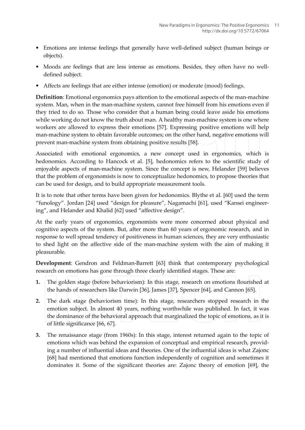- Emotions are intense feelings that generally have well-defined subject (human beings or objects).
- Moods are feelings that are less intense as emotions. Besides, they often have no welldefined subject.
- Affects are feelings that are either intense (emotion) or moderate (mood) feelings.

**Definition**: Emotional ergonomics pays attention to the emotional aspects of the man-machine system. Man, when in the man-machine system, cannot free himself from his emotions even if they tried to do so. Those who consider that a human being could leave aside his emotions while working do not know the truth about man. A healthy man-machine system is one where workers are allowed to express their emotions [57]. Expressing positive emotions will help man-machine system to obtain favorable outcomes; on the other hand, negative emotions will prevent man-machine system from obtaining positive results [58].

Associated with emotional ergonomics, a new concept used in ergonomics, which is hedonomics. According to Hancock et al. [5], hedonomics refers to the scientific study of enjoyable aspects of man-machine system. Since the concept is new, Helander [59] believes that the problem of ergonomists is now to conceptualize hedonomics, to propose theories that can be used for design, and to build appropriate measurement tools.

It is to note that other terms have been given for hedonomics. Blythe et al. [60] used the term "funology". Jordan [24] used "design for pleasure", Nagamachi [61], used "Kansei engineering", and Helander and Khalid [62] used "affective design".

At the early years of ergonomics, ergonomists were more concerned about physical and cognitive aspects of the system. But, after more than 60 years of ergonomic research, and in response to well spread tendency of positiveness in human sciences, they are very enthusiastic to shed light on the affective side of the man-machine system with the aim of making it pleasurable.

Development: Gendron and Feldman-Barrett [63] think that contemporary psychological research on emotions has gone through three clearly identified stages. These are:

- The golden stage (before behaviorism): In this stage, research on emotions flourished at 1. the hands of researchers like Darwin [36], James [37], Spencer [64], and Cannon [65].
- $2.$ The dark stage (behaviorism time): In this stage, researchers stopped research in the emotion subject. In almost 40 years, nothing worthwhile was published. In fact, it was the dominance of the behavioral approach that marginalized the topic of emotions, as it is of little significance [66, 67].
- 3. The renaissance stage (from 1960s): In this stage, interest returned again to the topic of emotions which was behind the expansion of conceptual and empirical research, providing a number of influential ideas and theories. One of the influential ideas is what Zajonc [68] had mentioned that emotions function independently of cognition and sometimes it dominates it. Some of the significant theories are: Zajonc theory of emotion [69], the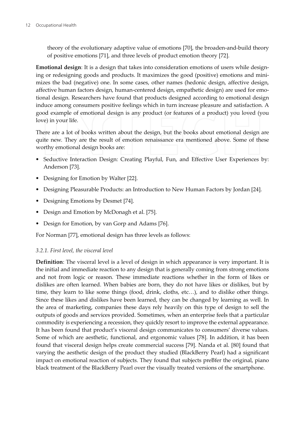theory of the evolutionary adaptive value of emotions [70], the broaden-and-build theory of positive emotions [71], and three levels of product emotion theory [72].

Emotional design: It is a design that takes into consideration emotions of users while designing or redesigning goods and products. It maximizes the good (positive) emotions and minimizes the bad (negative) one. In some cases, other names (hedonic design, affective design, affective human factors design, human-centered design, empathetic design) are used for emotional design. Researchers have found that products designed according to emotional design induce among consumers positive feelings which in turn increase pleasure and satisfaction. A good example of emotional design is any product (or features of a product) you loved (you love) in your life.

There are a lot of books written about the design, but the books about emotional design are quite new. They are the result of emotion renaissance era mentioned above. Some of these worthy emotional design books are:

- Seductive Interaction Design: Creating Playful, Fun, and Effective User Experiences by: Anderson [73].
- Designing for Emotion by Walter [22].
- Designing Pleasurable Products: an Introduction to New Human Factors by Jordan [24].
- Designing Emotions by Desmet [74].
- Design and Emotion by McDonagh et al. [75].
- Design for Emotion, by van Gorp and Adams [76].

For Norman [77], emotional design has three levels as follows:

### 3.2.1. First level, the visceral level

**Definition**: The visceral level is a level of design in which appearance is very important. It is the initial and immediate reaction to any design that is generally coming from strong emotions and not from logic or reason. These immediate reactions whether in the form of likes or dislikes are often learned. When babies are born, they do not have likes or dislikes, but by time, they learn to like some things (food, drink, cloths, etc...), and to dislike other things. Since these likes and dislikes have been learned, they can be changed by learning as well. In the area of marketing, companies these days rely heavily on this type of design to sell the outputs of goods and services provided. Sometimes, when an enterprise feels that a particular commodity is experiencing a recession, they quickly resort to improve the external appearance. It has been found that product's visceral design communicates to consumers' diverse values. Some of which are aesthetic, functional, and ergonomic values [78]. In addition, it has been found that visceral design helps create commercial success [79]. Nanda et al. [80] found that varying the aesthetic design of the product they studied (BlackBerry Pearl) had a significant impact on emotional reaction of subjects. They found that subjects preBfer the original, piano black treatment of the BlackBerry Pearl over the visually treated versions of the smartphone.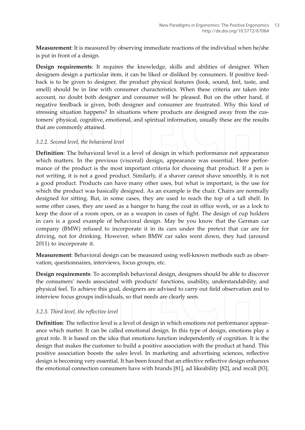Measurement: It is measured by observing immediate reactions of the individual when he/she is put in front of a design.

Design requirements: It requires the knowledge, skills and abilities of designer. When designers design a particular item, it can be liked or disliked by consumers. If positive feedback is to be given to designer, the product physical features (look, sound, feel, taste, and smell) should be in line with consumer characteristics. When these criteria are taken into account, no doubt both designer and consumer will be pleased. But on the other hand, if negative feedback is given, both designer and consumer are frustrated. Why this kind of stressing situation happens? In situations where products are designed away from the customers' physical, cognitive, emotional, and spiritual information, usually these are the results that are commonly attained.

#### 3.2.2. Second level, the behavioral level

Definition: The behavioral level is a level of design in which performance not appearance which matters. In the previous (visceral) design, appearance was essential. Here performance of the product is the most important criteria for choosing that product. If a pen is not writing, it is not a good product. Similarly, if a shaver cannot shave smoothly, it is not a good product. Products can have many other uses, but what is important, is the use for which the product was basically designed. As an example is the chair. Chairs are normally designed for sitting. But, in some cases, they are used to reach the top of a tall shelf. In some other cases, they are used as a hanger to hang the coat in office work, or as a lock to keep the door of a room open, or as a weapon in cases of fight. The design of cup holders in cars is a good example of behavioral design. May be you know that the German car company (BMW) refused to incorporate it in its cars under the pretext that car are for driving, not for drinking. However, when BMW car sales went down, they had (around 2011) to incorporate it.

Measurement: Behavioral design can be measured using well-known methods such as observation, questionnaires, interviews, focus groups, etc.

Design requirements: To accomplish behavioral design, designers should be able to discover the consumers' needs associated with products' functions, usability, understandability, and physical feel. To achieve this goal, designers are advised to carry out field observation and to interview focus groups individuals, so that needs are clearly seen.

#### 3.2.3. Third level, the reflective level

**Definition:** The reflective level is a level of design in which emotions not performance appearance which matter. It can be called emotional design. In this type of design, emotions play a great role. It is based on the idea that emotions function independently of cognition. It is the design that makes the customer to build a positive association with the product at hand. This positive association boosts the sales level. In marketing and advertising sciences, reflective design is becoming very essential. It has been found that an effective reflective design enhances the emotional connection consumers have with brands [81], ad likeability [82], and recall [83].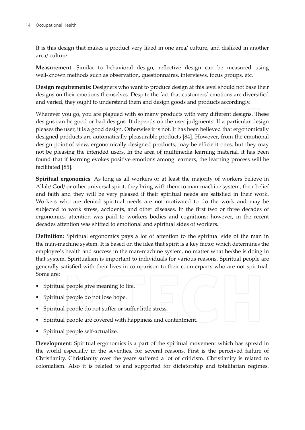It is this design that makes a product very liked in one area/ culture, and disliked in another area/ culture.

Measurement: Similar to behavioral design, reflective design can be measured using well-known methods such as observation, questionnaires, interviews, focus groups, etc.

**Design requirements:** Designers who want to produce design at this level should not base their designs on their emotions themselves. Despite the fact that customers' emotions are diversified and varied, they ought to understand them and design goods and products accordingly.

Wherever you go, you are plagued with so many products with very different designs. These designs can be good or bad designs. It depends on the user judgments. If a particular design pleases the user, it is a good design. Otherwise it is not. It has been believed that ergonomically designed products are automatically pleasurable products [84]. However, from the emotional design point of view, ergonomically designed products, may be efficient ones, but they may not be pleasing the intended users. In the area of multimedia learning material, it has been found that if learning evokes positive emotions among learners, the learning process will be facilitated [85].

Spiritual ergonomics: As long as all workers or at least the majority of workers believe in Allah/God/ or other universal spirit, they bring with them to man-machine system, their belief and faith and they will be very pleased if their spiritual needs are satisfied in their work. Workers who are denied spiritual needs are not motivated to do the work and may be subjected to work stress, accidents, and other diseases. In the first two or three decades of ergonomics, attention was paid to workers bodies and cognitions; however, in the recent decades attention was shifted to emotional and spiritual sides of workers.

Definition: Spiritual ergonomics pays a lot of attention to the spiritual side of the man in the man-machine system. It is based on the idea that spirit is a key factor which determines the employee's health and success in the man-machine system, no matter what he/she is doing in that system. Spiritualism is important to individuals for various reasons. Spiritual people are generally satisfied with their lives in comparison to their counterparts who are not spiritual. Some are:

- Spiritual people give meaning to life.
- Spiritual people do not lose hope.
- Spiritual people do not suffer or suffer little stress.
- Spiritual people are covered with happiness and contentment.
- Spiritual people self-actualize.

**Development:** Spiritual ergonomics is a part of the spiritual movement which has spread in the world especially in the seventies, for several reasons. First is the perceived failure of Christianity. Christianity over the years suffered a lot of criticism. Christianity is related to colonialism. Also it is related to and supported for dictatorship and totalitarian regimes.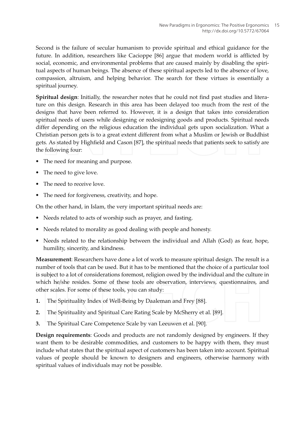Second is the failure of secular humanism to provide spiritual and ethical guidance for the future. In addition, researchers like Cacioppe [86] argue that modern world is afflicted by social, economic, and environmental problems that are caused mainly by disabling the spiritual aspects of human beings. The absence of these spiritual aspects led to the absence of love, compassion, altruism, and helping behavior. The search for these virtues is essentially a spiritual journey.

Spiritual design: Initially, the researcher notes that he could not find past studies and literature on this design. Research in this area has been delayed too much from the rest of the designs that have been referred to. However, it is a design that takes into consideration spiritual needs of users while designing or redesigning goods and products. Spiritual needs differ depending on the religious education the individual gets upon socialization. What a Christian person gets is to a great extent different from what a Muslim or Jewish or Buddhist gets. As stated by Highfield and Cason [87], the spiritual needs that patients seek to satisfy are the following four:

- The need for meaning and purpose.
- The need to give love.
- The need to receive love
- The need for forgiveness, creativity, and hope.

On the other hand, in Islam, the very important spiritual needs are:

- Needs related to acts of worship such as prayer, and fasting.
- Needs related to morality as good dealing with people and honesty.
- Needs related to the relationship between the individual and Allah (God) as fear, hope, humility, sincerity, and kindness.

Measurement: Researchers have done a lot of work to measure spiritual design. The result is a number of tools that can be used. But it has to be mentioned that the choice of a particular tool is subject to a lot of considerations foremost, religion owed by the individual and the culture in which he/she resides. Some of these tools are observation, interviews, questionnaires, and other scales. For some of these tools, you can study:

- 1. The Spirituality Index of Well-Being by Daaleman and Frey [88].
- $2.$ The Spirituality and Spiritual Care Rating Scale by McSherry et al. [89].
- 3. The Spiritual Care Competence Scale by van Leeuwen et al. [90].

Design requirements: Goods and products are not randomly designed by engineers. If they want them to be desirable commodities, and customers to be happy with them, they must include what states that the spiritual aspect of customers has been taken into account. Spiritual values of people should be known to designers and engineers, otherwise harmony with spiritual values of individuals may not be possible.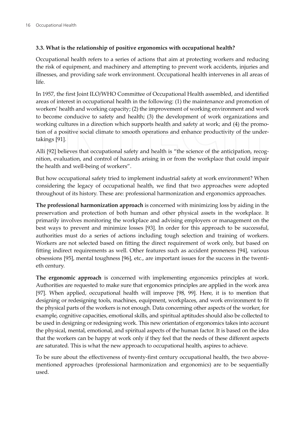### 3.3. What is the relationship of positive ergonomics with occupational health?

Occupational health refers to a series of actions that aim at protecting workers and reducing the risk of equipment, and machinery and attempting to prevent work accidents, injuries and illnesses, and providing safe work environment. Occupational health intervenes in all areas of life.

In 1957, the first Joint ILO/WHO Committee of Occupational Health assembled, and identified areas of interest in occupational health in the following: (1) the maintenance and promotion of workers' health and working capacity; (2) the improvement of working environment and work to become conducive to safety and health; (3) the development of work organizations and working cultures in a direction which supports health and safety at work; and (4) the promotion of a positive social climate to smooth operations and enhance productivity of the undertakings [91].

Alli [92] believes that occupational safety and health is "the science of the anticipation, recognition, evaluation, and control of hazards arising in or from the workplace that could impair the health and well-being of workers".

But how occupational safety tried to implement industrial safety at work environment? When considering the legacy of occupational health, we find that two approaches were adopted throughout of its history. These are: professional harmonization and ergonomics approaches.

The professional harmonization approach is concerned with minimizing loss by aiding in the preservation and protection of both human and other physical assets in the workplace. It primarily involves monitoring the workplace and advising employers or management on the best ways to prevent and minimize losses [93]. In order for this approach to be successful, authorities must do a series of actions including tough selection and training of workers. Workers are not selected based on fitting the direct requirement of work only, but based on fitting indirect requirements as well. Other features such as accident proneness [94], various obsessions [95], mental toughness [96], etc., are important issues for the success in the twentieth century.

The ergonomic approach is concerned with implementing ergonomics principles at work. Authorities are requested to make sure that ergonomics principles are applied in the work area [97]. When applied, occupational health will improve [98, 99]. Here, it is to mention that designing or redesigning tools, machines, equipment, workplaces, and work environment to fit the physical parts of the workers is not enough. Data concerning other aspects of the worker, for example, cognitive capacities, emotional skills, and spiritual aptitudes should also be collected to be used in designing or redesigning work. This new orientation of ergonomics takes into account the physical, mental, emotional, and spiritual aspects of the human factor. It is based on the idea that the workers can be happy at work only if they feel that the needs of these different aspects are saturated. This is what the new approach to occupational health, aspires to achieve.

To be sure about the effectiveness of twenty-first century occupational health, the two abovementioned approaches (professional harmonization and ergonomics) are to be sequentially used.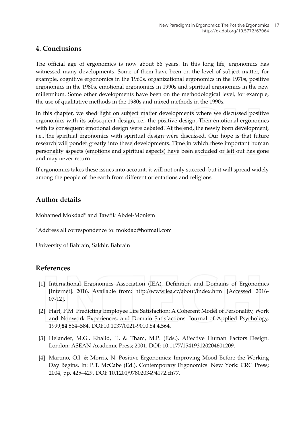### 4. Conclusions

The official age of ergonomics is now about 66 years. In this long life, ergonomics has witnessed many developments. Some of them have been on the level of subject matter, for example, cognitive ergonomics in the 1960s, organizational ergonomics in the 1970s, positive ergonomics in the 1980s, emotional ergonomics in 1990s and spiritual ergonomics in the new millennium. Some other developments have been on the methodological level, for example, the use of qualitative methods in the 1980s and mixed methods in the 1990s.

In this chapter, we shed light on subject matter developments where we discussed positive ergonomics with its subsequent design, i.e., the positive design. Then emotional ergonomics with its consequent emotional design were debated. At the end, the newly born development, i.e., the spiritual ergonomics with spiritual design were discussed. Our hope is that future research will ponder greatly into these developments. Time in which these important human personality aspects (emotions and spiritual aspects) have been excluded or left out has gone and may never return.

If ergonomics takes these issues into account, it will not only succeed, but it will spread widely among the people of the earth from different orientations and religions.

# Author details

Mohamed Mokdad\* and Tawfik Abdel-Moniem

\*Address all correspondence to: mokdad@hotmail.com

University of Bahrain, Sakhir, Bahrain

# References

- [1] International Ergonomics Association (IEA). Definition and Domains of Ergonomics [Internet]. 2016. Available from: http://www.iea.cc/about/index.html [Accessed: 2016- $07-12$ ].
- [2] Hart, P.M. Predicting Employee Life Satisfaction: A Coherent Model of Personality, Work and Nonwork Experiences, and Domain Satisfactions. Journal of Applied Psychology, 1999;84:564-584. DOI:10.1037/0021-9010.84.4.564.
- [3] Helander, M.G., Khalid, H. & Tham, M.P. (Eds.). Affective Human Factors Design. London: ASEAN Academic Press; 2001. DOI: 10.1177/154193120204601209.
- [4] Martino, O.I. & Morris, N. Positive Ergonomics: Improving Mood Before the Working Day Begins. In: P.T. McCabe (Ed.). Contemporary Ergonomics. New York: CRC Press; 2004, pp. 425-429. DOI: 10.1201/9780203494172.ch77.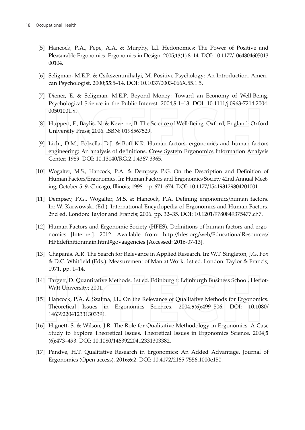- [5] Hancock, P.A., Pepe, A.A. & Murphy, L.I. Hedonomics: The Power of Positive and Pleasurable Ergonomics. Ergonomics in Design. 2005;13(1):8-14. DOI: 10.1177/1064804605013 00104.
- [6] Seligman, M.E.P. & Csikszentmihalyi, M. Positive Psychology: An Introduction. American Psychologist. 2000;55:5-14. DOI: 10.1037/0003-066X.55.1.5.
- [7] Diener, E. & Seligman, M.E.P. Beyond Money: Toward an Economy of Well-Being. Psychological Science in the Public Interest. 2004;5:1-13. DOI: 10.1111/j.0963-7214.2004. 00501001.x.
- [8] Huppert, F., Baylis, N. & Keverne, B. The Science of Well-Being. Oxford, England: Oxford University Press; 2006. ISBN: 0198567529.
- [9] Licht, D.M., Polzella, D.J. & Boff K.R. Human factors, ergonomics and human factors engineering: An analysis of definitions. Crew System Ergonomics Information Analysis Center; 1989. DOI: 10.13140/RG.2.1.4367.3365.
- [10] Wogalter, M.S., Hancock, P.A. & Dempsey, P.G. On the Description and Definition of Human Factors/Ergonomics. In: Human Factors and Ergonomics Society 42nd Annual Meeting; October 5-9, Chicago, Illinois; 1998. pp. 671-674. DOI: 10.1177/154193129804201001.
- [11] Dempsey, P.G., Wogalter, M.S. & Hancock, P.A. Defining ergonomics/human factors. In: W. Karwowski (Ed.). International Encyclopedia of Ergonomics and Human Factors. 2nd ed. London: Taylor and Francis; 2006. pp. 32-35. DOI: 10.1201/9780849375477.ch7.
- [12] Human Factors and Ergonomic Society (HFES). Definitions of human factors and ergonomics [Internet]. 2012. Available from: http://hfes.org/web/EducationalResources/ HFEdefinitionmain.html#govaagencies [Accessed: 2016-07-13].
- [13] Chapanis, A.R. The Search for Relevance in Applied Research. In: W.T. Singleton, J.G. Fox & D.C. Whitfield (Eds.). Measurement of Man at Work. 1st ed. London: Taylor & Francis; 1971. pp. 1-14.
- [14] Targett, D. Quantitative Methods. 1st ed. Edinburgh: Edinburgh Business School, Heriot-Watt University; 2001.
- [15] Hancock, P.A. & Szalma, J.L. On the Relevance of Qualitative Methods for Ergonomics. Theoretical Issues in Ergonomics Sciences. 2004;5(6):499-506. DOI: 10.1080/ 14639220412331303391.
- [16] Hignett, S. & Wilson, J.R. The Role for Qualitative Methodology in Ergonomics: A Case Study to Explore Theoretical Issues. Theoretical Issues in Ergonomics Science. 2004;5 (6):473-493. DOI: 10.1080/14639220412331303382.
- [17] Pandve, H.T. Qualitative Research in Ergonomics: An Added Advantage. Journal of Ergonomics (Open access). 2016;6:2. DOI: 10.4172/2165-7556.1000e150.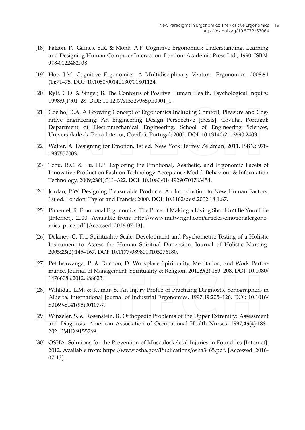- [18] Falzon, P., Gaines, B.R. & Monk, A.F. Cognitive Ergonomics: Understanding, Learning and Designing Human-Computer Interaction. London: Academic Press Ltd.; 1990. ISBN: 978-0122482908.
- [19] Hoc, J.M. Cognitive Ergonomics: A Multidisciplinary Venture. Ergonomics. 2008;51 (1):71-75. DOI: 10.1080/00140130701801124.
- [20] Ryff, C.D. & Singer, B. The Contours of Positive Human Health. Psychological Inquiry. 1998;9(1):01-28. DOI: 10.1207/s15327965pli0901\_1.
- [21] Coelho, D.A. A Growing Concept of Ergonomics Including Comfort, Pleasure and Cognitive Engineering: An Engineering Design Perspective [thesis]. Covilhã, Portugal: Department of Electromechanical Engineering, School of Engineering Sciences, Universidade da Beira Interior, Covilhã, Portugal; 2002. DOI: 10.13140/2.1.3690.2403.
- [22] Walter, A. Designing for Emotion. 1st ed. New York: Jeffrey Zeldman; 2011. ISBN: 978-1937557003.
- [23] Tzou, R.C. & Lu, H.P. Exploring the Emotional, Aesthetic, and Ergonomic Facets of Innovative Product on Fashion Technology Acceptance Model. Behaviour & Information Technology. 2009;28(4):311-322. DOI: 10.1080/01449290701763454.
- [24] Jordan, P.W. Designing Pleasurable Products: An Introduction to New Human Factors. 1st ed. London: Taylor and Francis; 2000. DOI: 10.1162/desi.2002.18.1.87.
- [25] Pimentel, R. Emotional Ergonomics: The Price of Making a Living Shouldn't Be Your Life [Internet]. 2000. Available from: http://www.miltwright.com/articles/emotionalergonomics\_price.pdf [Accessed: 2016-07-13].
- [26] Delaney, C. The Spirituality Scale: Development and Psychometric Testing of a Holistic Instrument to Assess the Human Spiritual Dimension. Journal of Holistic Nursing. 2005;23(2):145-167. DOI: 10.1177/0898010105276180.
- [27] Petchsawanga, P. & Duchon, D. Workplace Spirituality, Meditation, and Work Performance. Journal of Management, Spirituality & Religion. 2012;9(2):189-208. DOI: 10.1080/ 14766086.2012.688623.
- [28] Wihlidal, L.M. & Kumar, S. An Injury Profile of Practicing Diagnostic Sonographers in Alberta. International Journal of Industrial Ergonomics. 1997;19:205-126. DOI: 10.1016/ S0169-8141(95)00107-7.
- [29] Winzeler, S. & Rosenstein, B. Orthopedic Problems of the Upper Extremity: Assessment and Diagnosis. American Association of Occupational Health Nurses. 1997;45(4):188-202. PMID:9155269.
- [30] OSHA. Solutions for the Prevention of Musculoskeletal Injuries in Foundries [Internet]. 2012. Available from: https://www.osha.gov/Publications/osha3465.pdf. [Accessed: 2016- $07-13$ ].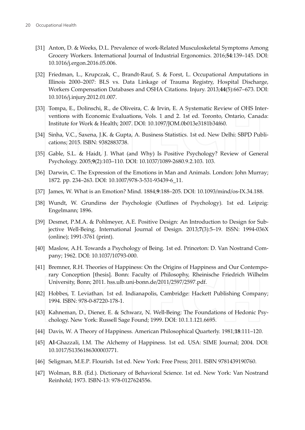- [31] Anton, D. & Weeks, D.L. Prevalence of work-Related Musculoskeletal Symptoms Among Grocery Workers. International Journal of Industrial Ergonomics. 2016;54:139-145. DOI: 10.1016/j.ergon.2016.05.006.
- [32] Friedman, L., Krupczak, C., Brandt-Rauf, S. & Forst, L. Occupational Amputations in Illinois 2000-2007: BLS vs. Data Linkage of Trauma Registry, Hospital Discharge, Workers Compensation Databases and OSHA Citations. Injury. 2013;44(5):667-673. DOI: 10.1016/j.injury.2012.01.007.
- [33] Tompa, E., Dolinschi, R., de Oliveira, C. & Irvin, E. A Systematic Review of OHS Interventions with Economic Evaluations, Vols. 1 and 2. 1st ed. Toronto, Ontario, Canada: Institute for Work & Health; 2007. DOI: 10.1097/JOM.0b013e3181b34f60.
- [34] Sinha, V.C., Saxena, J.K. & Gupta, A. Business Statistics. 1st ed. New Delhi: SBPD Publications; 2015. ISBN: 9382883738.
- [35] Gable, S.L. & Haidt, J. What (and Why) Is Positive Psychology? Review of General Psychology. 2005;9(2):103-110. DOI: 10.1037/1089-2680.9.2.103. 103.
- [36] Darwin, C. The Expression of the Emotions in Man and Animals. London: John Murray; 1872. pp. 234-263. DOI: 10.1007/978-3-531-93439-6 11.
- [37] James, W. What is an Emotion? Mind. 1884;9:188-205. DOI: 10.1093/mind/os-IX.34.188.
- [38] Wundt, W. Grundirss der Psychologie (Outlines of Psychology). 1st ed. Leipzig: Engelmann; 1896.
- [39] Desmet, P.M.A. & Pohlmeyer, A.E. Positive Design: An Introduction to Design for Subjective Well-Being. International Journal of Design. 2013;7(3):5-19. ISSN: 1994-036X (online); 1991-3761 (print).
- [40] Maslow, A.H. Towards a Psychology of Being. 1st ed. Princeton: D. Van Nostrand Company; 1962. DOI: 10.1037/10793-000.
- [41] Bremner, R.H. Theories of Happiness: On the Origins of Happiness and Our Contemporary Conception [thesis]. Bonn: Faculty of Philosophy, Rheinische Friedrich Wilhelm University, Bonn; 2011. hss.ulb.uni-bonn.de/2011/2597/2597.pdf.
- [42] Hobbes, T. Leviathan. 1st ed. Indianapolis, Cambridge: Hackett Publishing Company; 1994. ISBN: 978-0-87220-178-1.
- [43] Kahneman, D., Diener, E. & Schwarz, N. Well-Being: The Foundations of Hedonic Psychology. New York: Russell Sage Found; 1999. DOI: 10.1.1.121.6695.
- [44] Davis, W. A Theory of Happiness. American Philosophical Quarterly. 1981;18:111–120.
- [45] Al-Ghazzali, I.M. The Alchemy of Happiness. 1st ed. USA: SIME Journal; 2004. DOI: 10.1017/S1356186300003771.
- [46] Seligman, M.E.P. Flourish. 1st ed. New York: Free Press; 2011. ISBN 9781439190760.
- [47] Wolman, B.B. (Ed.). Dictionary of Behavioral Science. 1st ed. New York: Van Nostrand Reinhold; 1973. ISBN-13: 978-0127624556.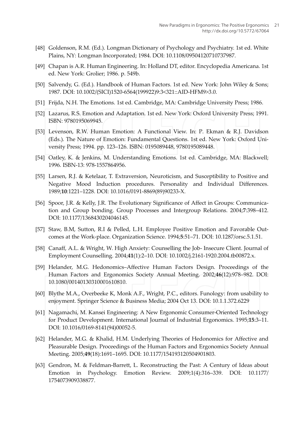- [48] Goldenson, R.M. (Ed.). Longman Dictionary of Psychology and Psychiatry. 1st ed. White Plains, NY: Longman Incorporated; 1984. DOI: 10.1108/09504120710737987.
- [49] Chapan is A.R. Human Engineering. In: Holland DT, editor. Encyclopedia Americana. 1st ed. New York: Grolier; 1986. p. 549b.
- [50] Salvendy, G. (Ed.). Handbook of Human Factors. 1st ed. New York: John Wiley & Sons; 1987. DOI: 10.1002/(SICI)1520-6564(199922)9:3<321::AID-HFM9>3.0.
- [51] Frijda, N.H. The Emotions. 1st ed. Cambridge, MA: Cambridge University Press; 1986.
- [52] Lazarus, R.S. Emotion and Adaptation. 1st ed. New York: Oxford University Press; 1991. ISBN: 9780195069945.
- [53] Levenson, R.W. Human Emotion: A Functional View. In: P. Ekman & R.J. Davidson (Eds.). The Nature of Emotion: Fundamental Questions. 1st ed. New York: Oxford University Press; 1994. pp. 123-126. ISBN: 0195089448, 9780195089448.
- [54] Oatley, K. & Jenkins, M. Understanding Emotions. 1st ed. Cambridge, MA: Blackwell; 1996. ISBN-13: 978-1557864956.
- [55] Larsen, R.J. & Ketelaar, T. Extraversion, Neuroticism, and Susceptibility to Positive and Negative Mood Induction procedures. Personality and Individual Differences. 1989;10:1221-1228. DOI: 10.1016/0191-8869(89)90233-X.
- [56] Spoor, J.R. & Kelly, J.R. The Evolutionary Significance of Affect in Groups: Communication and Group bonding. Group Processes and Intergroup Relations. 2004;7:398-412. DOI: 10.1177/1368430204046145.
- [57] Staw, B.M, Sutton, R.I & Pelled, L.H. Employee Positive Emotion and Favorable Outcomes at the Work-place. Organization Science. 1994;5:51-71. DOI: 10.1287/orsc.5.1.51.
- [58] Canaff, A.L. & Wright, W. High Anxiety: Counselling the Job- Insecure Client. Journal of Employment Counselling. 2004;41(1):2-10. DOI: 10.1002/j.2161-1920.2004.tb00872.x.
- [59] Helander, M.G. Hedonomics-Affective Human Factors Design. Proceedings of the Human Factors and Ergonomics Society Annual Meeting. 2002;46(12):978-982. DOI: 10.1080/00140130310001610810.
- [60] Blythe M.A., Overbeeke K, Monk A.F., Wright, P.C., editors. Funology: from usability to enjoyment. Springer Science & Business Media; 2004 Oct 13. DOI: 10.1.1.372.6229
- [61] Nagamachi, M. Kansei Engineering: A New Ergonomic Consumer-Oriented Technology for Product Development. International Journal of Industrial Ergonomics. 1995;15:3-11. DOI: 10.1016/0169-8141(94)00052-5.
- [62] Helander, M.G. & Khalid, H.M. Underlying Theories of Hedonomics for Affective and Pleasurable Design. Proceedings of the Human Factors and Ergonomics Society Annual Meeting. 2005;49(18):1691-1695. DOI: 10.1177/154193120504901803.
- [63] Gendron, M. & Feldman-Barrett, L. Reconstructing the Past: A Century of Ideas about Emotion in Psychology. Emotion Review. 2009;1(4):316-339. DOI: 10.1177/ 1754073909338877.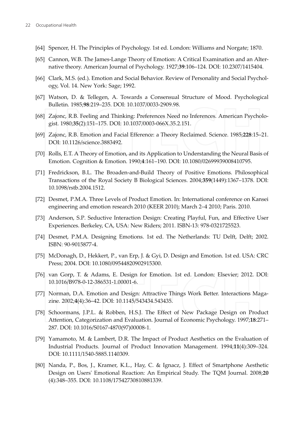- [64] Spencer, H. The Principles of Psychology. 1st ed. London: Williams and Norgate; 1870.
- [65] Cannon, W.B. The James-Lange Theory of Emotion: A Critical Examination and an Alternative theory. American Journal of Psychology. 1927;39:106-124. DOI: 10.2307/1415404.
- [66] Clark, M.S. (ed.). Emotion and Social Behavior. Review of Personality and Social Psychology, Vol. 14. New York: Sage; 1992.
- [67] Watson, D. & Tellegen, A. Towards a Consensual Structure of Mood. Psychological Bulletin. 1985;98:219-235. DOI: 10.1037/0033-2909.98.
- [68] Zajonc, R.B. Feeling and Thinking: Preferences Need no Inferences. American Psychologist. 1980;35(2):151-175. DOI: 10.1037/0003-066X.35.2.151.
- [69] Zajonc, R.B. Emotion and Facial Efference: a Theory Reclaimed. Science. 1985;228:15-21. DOI: 10.1126/science.3883492.
- [70] Rolls, E.T. A Theory of Emotion, and its Application to Understanding the Neural Basis of Emotion. Cognition & Emotion. 1990;4:161-190. DOI: 10.1080/02699939008410795.
- [71] Fredrickson, B.L. The Broaden-and-Build Theory of Positive Emotions. Philosophical Transactions of the Royal Society B Biological Sciences. 2004;359(1449):1367–1378. DOI: 10.1098/rstb.2004.1512.
- [72] Desmet, P.M.A. Three Levels of Product Emotion. In: International conference on Kansei engineering and emotion research 2010 (KEER 2010); March 2-4 2010; Paris. 2010.
- [73] Anderson, S.P. Seductive Interaction Design: Creating Playful, Fun, and Effective User Experiences. Berkeley, CA, USA: New Riders; 2011. ISBN-13: 978-0321725523.
- [74] Desmet, P.M.A. Designing Emotions. 1st ed. The Netherlands: TU Delft, Delft; 2002. ISBN: 90-9015877-4.
- [75] McDonagh, D., Hekkert, P., van Erp, J. & Gyi, D. Design and Emotion. 1st ed. USA: CRC Press; 2004. DOI: 10.1080/09544820902915300.
- [76] van Gorp, T. & Adams, E. Design for Emotion. 1st ed. London: Elsevier; 2012. DOI: 10.1016/B978-0-12-386531-1.00001-6.
- [77] Norman, D.A. Emotion and Design: Attractive Things Work Better. Interactions Magazine. 2002;4(4):36-42. DOI: 10.1145/543434.543435.
- [78] Schoormans, J.P.L. & Robben, H.S.J. The Effect of New Package Design on Product Attention, Categorization and Evaluation. Journal of Economic Psychology. 1997;18:271-287. DOI: 10.1016/S0167-4870(97)00008-1.
- [79] Yamamoto, M. & Lambert, D.R. The Impact of Product Aesthetics on the Evaluation of Industrial Products. Journal of Product Innovation Management. 1994;11(4):309-324. DOI: 10.1111/1540-5885.1140309.
- [80] Nanda, P., Bos, J., Kramer, K.L., Hay, C. & Ignacz, J. Effect of Smartphone Aesthetic Design on Users' Emotional Reaction: An Empirical Study. The TQM Journal. 2008;20 (4):348-355. DOI: 10.1108/17542730810881339.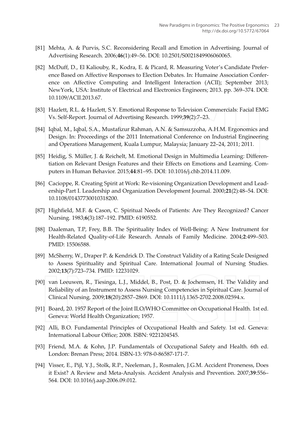- [81] Mehta, A. & Purvis, S.C. Reconsidering Recall and Emotion in Advertising. Journal of Advertising Research. 2006;46(1):49-56. DOI: 10.2501/S0021849906060065.
- [82] McDuff, D., El Kaliouby, R., Kodra, E. & Picard, R. Measuring Voter's Candidate Preference Based on Affective Responses to Election Debates. In: Humaine Association Conference on Affective Computing and Intelligent Interaction (ACII); September 2013; NewYork, USA: Institute of Electrical and Electronics Engineers; 2013. pp. 369–374. DOI: 10.1109/ACII.2013.67.
- [83] Hazlett, R.L. & Hazlett, S.Y. Emotional Response to Television Commercials: Facial EMG Vs. Self-Report. Journal of Advertising Research. 1999;39(2):7-23.
- [84] Iqbal, M., Iqbal, S.A., Mustafizur Rahman, A.N. & Samsuzzoha, A.H.M. Ergonomics and Design. In: Proceedings of the 2011 International Conference on Industrial Engineering and Operations Management, Kuala Lumpur, Malaysia; January 22–24, 2011; 2011.
- [85] Heidig, S. Müller, J. & Reichelt, M. Emotional Design in Multimedia Learning: Differentiation on Relevant Design Features and their Effects on Emotions and Learning. Computers in Human Behavior. 2015;44:81-95. DOI: 10.1016/j.chb.2014.11.009.
- [86] Cacioppe, R. Creating Spirit at Work: Re-visioning Organization Development and Leadership-Part I. Leadership and Organization Development Journal. 2000;21(2):48-54. DOI: 10.1108/01437730010318200.
- [87] Highfield, M.F. & Cason, C. Spiritual Needs of Patients: Are They Recognized? Cancer Nursing. 1983;6(3):187-192. PMID: 6190552.
- [88] Daaleman, T.P, Frey, B.B. The Spirituality Index of Well-Being: A New Instrument for Health-Related Quality-of-Life Research. Annals of Family Medicine. 2004;2:499-503. PMID: 15506588.
- [89] McSherry, W., Draper P. & Kendrick D. The Construct Validity of a Rating Scale Designed to Assess Spirituality and Spiritual Care. International Journal of Nursing Studies. 2002;13(7):723-734. PMID: 12231029.
- [90] van Leeuwen, R., Tiesinga, L.J., Middel, B., Post, D. & Jochemsen, H. The Validity and Reliability of an Instrument to Assess Nursing Competencies in Spiritual Care. Journal of Clinical Nursing. 2009;18(20):2857-2869. DOI: 10.1111/j.1365-2702.2008.02594.x.
- [91] Board, 20. 1957 Report of the Joint ILO/WHO Committee on Occupational Health. 1st ed. Geneva: World Health Organization; 1957.
- [92] Alli, B.O. Fundamental Principles of Occupational Health and Safety. 1st ed. Geneva: International Labour Office; 2008. ISBN: 9221204545.
- [93] Friend, M.A. & Kohn, J.P. Fundamentals of Occupational Safety and Health. 6th ed. London: Brenan Press; 2014. ISBN-13: 978-0-86587-171-7.
- [94] Visser, E., Pijl, Y.J., Stolk, R.P., Neeleman, J., Rosmalen, J.G.M. Accident Proneness, Does it Exist? A Review and Meta-Analysis. Accident Analysis and Prevention. 2007;39:556-564. DOI: 10.1016/j.aap.2006.09.012.